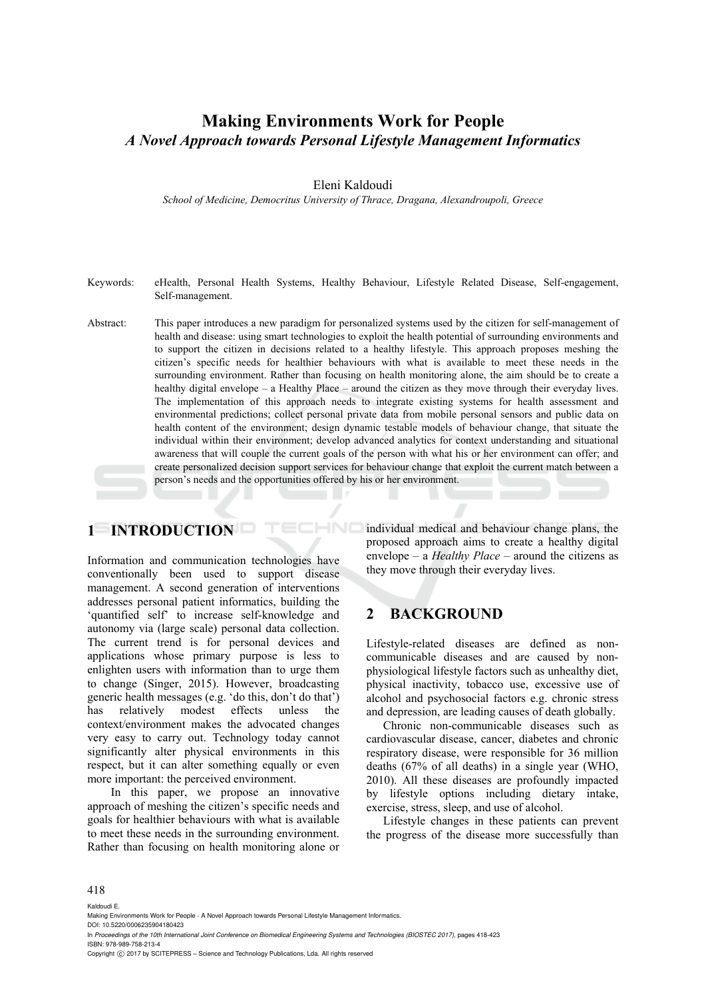## **Making Environments Work for People**  *A Novel Approach towards Personal Lifestyle Management Informatics*

#### Eleni Kaldoudi

*School of Medicine, Democritus University of Thrace, Dragana, Alexandroupoli, Greece* 

- Keywords: eHealth, Personal Health Systems, Healthy Behaviour, Lifestyle Related Disease, Self-engagement, Self-management.
- Abstract: This paper introduces a new paradigm for personalized systems used by the citizen for self-management of health and disease: using smart technologies to exploit the health potential of surrounding environments and to support the citizen in decisions related to a healthy lifestyle. This approach proposes meshing the citizen's specific needs for healthier behaviours with what is available to meet these needs in the surrounding environment. Rather than focusing on health monitoring alone, the aim should be to create a healthy digital envelope – a Healthy Place – around the citizen as they move through their everyday lives. The implementation of this approach needs to integrate existing systems for health assessment and environmental predictions; collect personal private data from mobile personal sensors and public data on health content of the environment; design dynamic testable models of behaviour change, that situate the individual within their environment; develop advanced analytics for context understanding and situational awareness that will couple the current goals of the person with what his or her environment can offer; and create personalized decision support services for behaviour change that exploit the current match between a person's needs and the opportunities offered by his or her environment.

HNO

## **1 INTRODUCTION**

Information and communication technologies have conventionally been used to support disease management. A second generation of interventions addresses personal patient informatics, building the 'quantified self' to increase self-knowledge and autonomy via (large scale) personal data collection. The current trend is for personal devices and applications whose primary purpose is less to enlighten users with information than to urge them to change (Singer, 2015). However, broadcasting generic health messages (e.g. 'do this, don't do that') has relatively modest effects unless the context/environment makes the advocated changes very easy to carry out. Technology today cannot significantly alter physical environments in this respect, but it can alter something equally or even more important: the perceived environment.

In this paper, we propose an innovative approach of meshing the citizen's specific needs and goals for healthier behaviours with what is available to meet these needs in the surrounding environment. Rather than focusing on health monitoring alone or

individual medical and behaviour change plans, the proposed approach aims to create a healthy digital envelope – a *Healthy Place* – around the citizens as they move through their everyday lives.

## **2 BACKGROUND**

Lifestyle-related diseases are defined as noncommunicable diseases and are caused by nonphysiological lifestyle factors such as unhealthy diet, physical inactivity, tobacco use, excessive use of alcohol and psychosocial factors e.g. chronic stress and depression, are leading causes of death globally.

Chronic non-communicable diseases such as cardiovascular disease, cancer, diabetes and chronic respiratory disease, were responsible for 36 million deaths (67% of all deaths) in a single year (WHO, 2010). All these diseases are profoundly impacted by lifestyle options including dietary intake, exercise, stress, sleep, and use of alcohol.

Lifestyle changes in these patients can prevent the progress of the disease more successfully than

#### 418

Kaldoudi E.

Making Environments Work for People - A Novel Approach towards Personal Lifestyle Management Informatics.

DOI: 10.5220/0006235904180423 In *Proceedings of the 10th International Joint Conference on Biomedical Engineering Systems and Technologies (BIOSTEC 2017)*, pages 418-423 ISBN: 978-989-758-213-4

Copyright C 2017 by SCITEPRESS - Science and Technology Publications, Lda. All rights reserved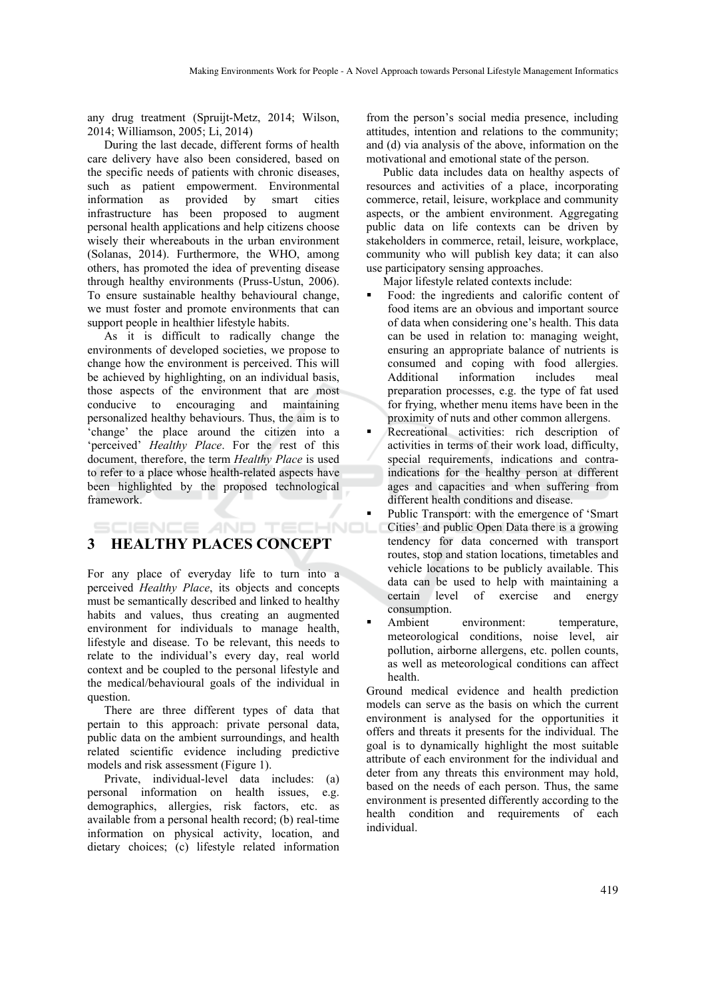any drug treatment (Spruijt-Metz, 2014; Wilson, 2014; Williamson, 2005; Li, 2014)

During the last decade, different forms of health care delivery have also been considered, based on the specific needs of patients with chronic diseases, such as patient empowerment. Environmental information as provided by smart cities infrastructure has been proposed to augment personal health applications and help citizens choose wisely their whereabouts in the urban environment (Solanas, 2014). Furthermore, the WHO, among others, has promoted the idea of preventing disease through healthy environments (Pruss-Ustun, 2006). To ensure sustainable healthy behavioural change, we must foster and promote environments that can support people in healthier lifestyle habits.

As it is difficult to radically change the environments of developed societies, we propose to change how the environment is perceived. This will be achieved by highlighting, on an individual basis, those aspects of the environment that are most conducive to encouraging and maintaining personalized healthy behaviours. Thus, the aim is to 'change' the place around the citizen into a 'perceived' *Healthy Place*. For the rest of this document, therefore, the term *Healthy Place* is used to refer to a place whose health-related aspects have been highlighted by the proposed technological framework.

## **3 HEALTHY PLACES CONCEPT**

For any place of everyday life to turn into a perceived *Healthy Place*, its objects and concepts must be semantically described and linked to healthy habits and values, thus creating an augmented environment for individuals to manage health, lifestyle and disease. To be relevant, this needs to relate to the individual's every day, real world context and be coupled to the personal lifestyle and the medical/behavioural goals of the individual in question.

There are three different types of data that pertain to this approach: private personal data, public data on the ambient surroundings, and health related scientific evidence including predictive models and risk assessment (Figure 1).

Private, individual-level data includes: (a) personal information on health issues, e.g. demographics, allergies, risk factors, etc. as available from a personal health record; (b) real-time information on physical activity, location, and dietary choices; (c) lifestyle related information

from the person's social media presence, including attitudes, intention and relations to the community; and (d) via analysis of the above, information on the motivational and emotional state of the person.

Public data includes data on healthy aspects of resources and activities of a place, incorporating commerce, retail, leisure, workplace and community aspects, or the ambient environment. Aggregating public data on life contexts can be driven by stakeholders in commerce, retail, leisure, workplace, community who will publish key data; it can also use participatory sensing approaches.

Major lifestyle related contexts include:

- Food: the ingredients and calorific content of food items are an obvious and important source of data when considering one's health. This data can be used in relation to: managing weight, ensuring an appropriate balance of nutrients is consumed and coping with food allergies. Additional information includes meal preparation processes, e.g. the type of fat used for frying, whether menu items have been in the proximity of nuts and other common allergens.
- Recreational activities: rich description of activities in terms of their work load, difficulty, special requirements, indications and contraindications for the healthy person at different ages and capacities and when suffering from different health conditions and disease.
- Public Transport: with the emergence of 'Smart **SCIENCE AND TECHNOL** Cities' and public Open Data there is a growing tendency for data concerned with transport routes, stop and station locations, timetables and vehicle locations to be publicly available. This data can be used to help with maintaining a certain level of exercise and energy consumption.
	- Ambient environment: temperature, meteorological conditions, noise level, air pollution, airborne allergens, etc. pollen counts, as well as meteorological conditions can affect health.

Ground medical evidence and health prediction models can serve as the basis on which the current environment is analysed for the opportunities it offers and threats it presents for the individual. The goal is to dynamically highlight the most suitable attribute of each environment for the individual and deter from any threats this environment may hold, based on the needs of each person. Thus, the same environment is presented differently according to the health condition and requirements of each individual.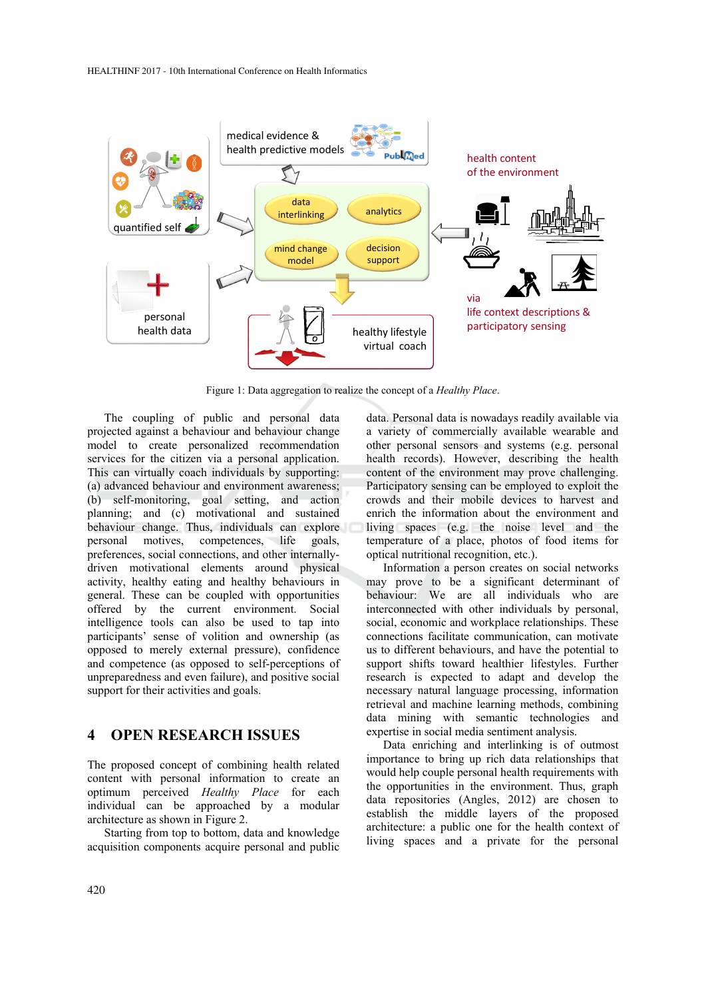

Figure 1: Data aggregation to realize the concept of a *Healthy Place*.

The coupling of public and personal data projected against a behaviour and behaviour change model to create personalized recommendation services for the citizen via a personal application. This can virtually coach individuals by supporting: (a) advanced behaviour and environment awareness; (b) self-monitoring, goal setting, and action planning; and (c) motivational and sustained behaviour change. Thus, individuals can explore personal motives, competences, life goals, preferences, social connections, and other internallydriven motivational elements around physical activity, healthy eating and healthy behaviours in general. These can be coupled with opportunities offered by the current environment. Social intelligence tools can also be used to tap into participants' sense of volition and ownership (as opposed to merely external pressure), confidence and competence (as opposed to self-perceptions of unpreparedness and even failure), and positive social support for their activities and goals.

#### **4 OPEN RESEARCH ISSUES**

The proposed concept of combining health related content with personal information to create an optimum perceived *Healthy Place* for each individual can be approached by a modular architecture as shown in Figure 2.

Starting from top to bottom, data and knowledge acquisition components acquire personal and public

data. Personal data is nowadays readily available via a variety of commercially available wearable and other personal sensors and systems (e.g. personal health records). However, describing the health content of the environment may prove challenging. Participatory sensing can be employed to exploit the crowds and their mobile devices to harvest and enrich the information about the environment and living spaces (e.g. the noise level and the temperature of a place, photos of food items for optical nutritional recognition, etc.).

Information a person creates on social networks may prove to be a significant determinant of behaviour: We are all individuals who are interconnected with other individuals by personal, social, economic and workplace relationships. These connections facilitate communication, can motivate us to different behaviours, and have the potential to support shifts toward healthier lifestyles. Further research is expected to adapt and develop the necessary natural language processing, information retrieval and machine learning methods, combining data mining with semantic technologies and expertise in social media sentiment analysis.

Data enriching and interlinking is of outmost importance to bring up rich data relationships that would help couple personal health requirements with the opportunities in the environment. Thus, graph data repositories (Angles, 2012) are chosen to establish the middle layers of the proposed architecture: a public one for the health context of living spaces and a private for the personal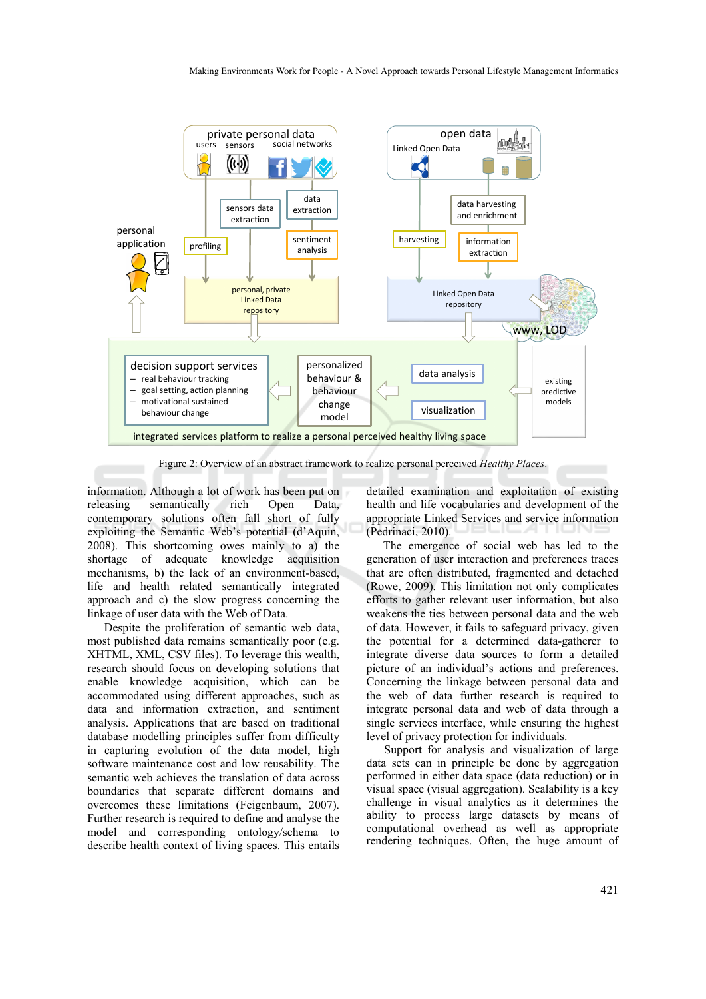

Figure 2: Overview of an abstract framework to realize personal perceived *Healthy Places*.

information. Although a lot of work has been put on releasing semantically rich Open Data, contemporary solutions often fall short of fully exploiting the Semantic Web's potential (d'Aquin, 2008). This shortcoming owes mainly to a) the shortage of adequate knowledge acquisition mechanisms, b) the lack of an environment-based, life and health related semantically integrated approach and c) the slow progress concerning the linkage of user data with the Web of Data.

Despite the proliferation of semantic web data, most published data remains semantically poor (e.g. XHTML, XML, CSV files). To leverage this wealth, research should focus on developing solutions that enable knowledge acquisition, which can be accommodated using different approaches, such as data and information extraction, and sentiment analysis. Applications that are based on traditional database modelling principles suffer from difficulty in capturing evolution of the data model, high software maintenance cost and low reusability. The semantic web achieves the translation of data across boundaries that separate different domains and overcomes these limitations (Feigenbaum, 2007). Further research is required to define and analyse the model and corresponding ontology/schema to describe health context of living spaces. This entails

detailed examination and exploitation of existing health and life vocabularies and development of the appropriate Linked Services and service information (Pedrinaci, 2010).

The emergence of social web has led to the generation of user interaction and preferences traces that are often distributed, fragmented and detached (Rowe, 2009). This limitation not only complicates efforts to gather relevant user information, but also weakens the ties between personal data and the web of data. However, it fails to safeguard privacy, given the potential for a determined data-gatherer to integrate diverse data sources to form a detailed picture of an individual's actions and preferences. Concerning the linkage between personal data and the web of data further research is required to integrate personal data and web of data through a single services interface, while ensuring the highest level of privacy protection for individuals.

Support for analysis and visualization of large data sets can in principle be done by aggregation performed in either data space (data reduction) or in visual space (visual aggregation). Scalability is a key challenge in visual analytics as it determines the ability to process large datasets by means of computational overhead as well as appropriate rendering techniques. Often, the huge amount of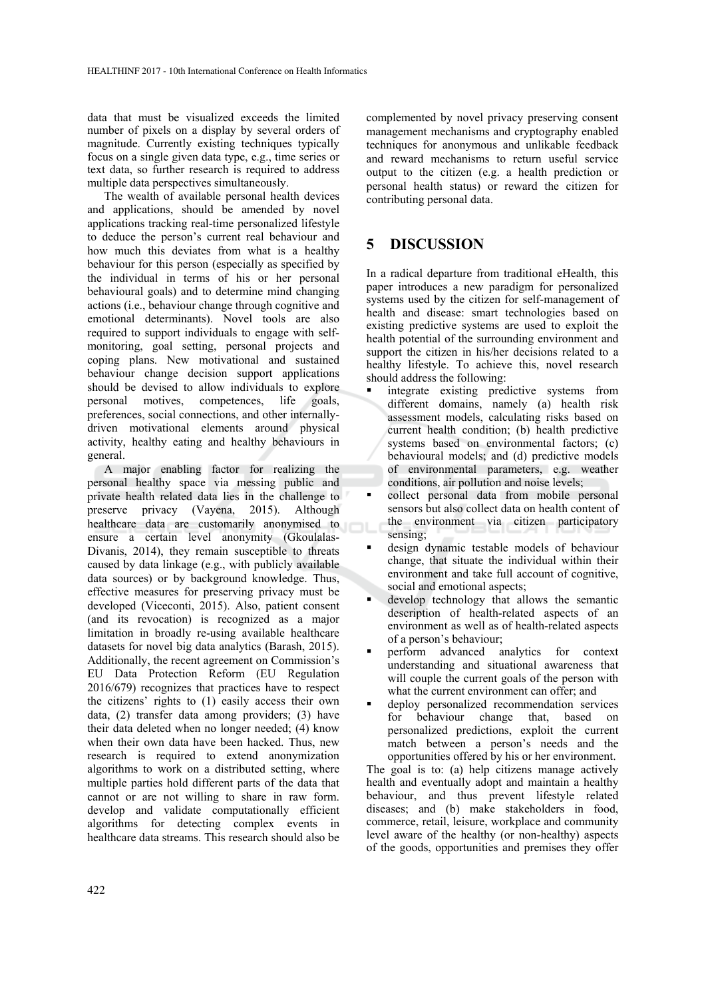data that must be visualized exceeds the limited number of pixels on a display by several orders of magnitude. Currently existing techniques typically focus on a single given data type, e.g., time series or text data, so further research is required to address multiple data perspectives simultaneously.

The wealth of available personal health devices and applications, should be amended by novel applications tracking real-time personalized lifestyle to deduce the person's current real behaviour and how much this deviates from what is a healthy behaviour for this person (especially as specified by the individual in terms of his or her personal behavioural goals) and to determine mind changing actions (i.e., behaviour change through cognitive and emotional determinants). Novel tools are also required to support individuals to engage with selfmonitoring, goal setting, personal projects and coping plans. New motivational and sustained behaviour change decision support applications should be devised to allow individuals to explore personal motives, competences, life goals, preferences, social connections, and other internallydriven motivational elements around physical activity, healthy eating and healthy behaviours in general.

A major enabling factor for realizing the personal healthy space via messing public and private health related data lies in the challenge to preserve privacy (Vayena, 2015). Although healthcare data are customarily anonymised to ensure a certain level anonymity (Gkoulalas-Divanis, 2014), they remain susceptible to threats caused by data linkage (e.g., with publicly available data sources) or by background knowledge. Thus, effective measures for preserving privacy must be developed (Viceconti, 2015). Also, patient consent (and its revocation) is recognized as a major limitation in broadly re-using available healthcare datasets for novel big data analytics (Barash, 2015). Additionally, the recent agreement on Commission's EU Data Protection Reform (EU Regulation 2016/679) recognizes that practices have to respect the citizens' rights to (1) easily access their own data, (2) transfer data among providers; (3) have their data deleted when no longer needed; (4) know when their own data have been hacked. Thus, new research is required to extend anonymization algorithms to work on a distributed setting, where multiple parties hold different parts of the data that cannot or are not willing to share in raw form. develop and validate computationally efficient algorithms for detecting complex events in healthcare data streams. This research should also be

complemented by novel privacy preserving consent management mechanisms and cryptography enabled techniques for anonymous and unlikable feedback and reward mechanisms to return useful service output to the citizen (e.g. a health prediction or personal health status) or reward the citizen for contributing personal data.

# **5 DISCUSSION**

In a radical departure from traditional eHealth, this paper introduces a new paradigm for personalized systems used by the citizen for self-management of health and disease: smart technologies based on existing predictive systems are used to exploit the health potential of the surrounding environment and support the citizen in his/her decisions related to a healthy lifestyle. To achieve this, novel research should address the following:

- integrate existing predictive systems from different domains, namely (a) health risk assessment models, calculating risks based on current health condition; (b) health predictive systems based on environmental factors; (c) behavioural models; and (d) predictive models of environmental parameters, e.g. weather conditions, air pollution and noise levels;
- collect personal data from mobile personal sensors but also collect data on health content of the environment via citizen participatory sensing;
- design dynamic testable models of behaviour change, that situate the individual within their environment and take full account of cognitive, social and emotional aspects;
- develop technology that allows the semantic description of health-related aspects of an environment as well as of health-related aspects of a person's behaviour;
- perform advanced analytics for context understanding and situational awareness that will couple the current goals of the person with what the current environment can offer; and
- deploy personalized recommendation services for behaviour change that, based on personalized predictions, exploit the current match between a person's needs and the opportunities offered by his or her environment.

The goal is to: (a) help citizens manage actively health and eventually adopt and maintain a healthy behaviour, and thus prevent lifestyle related diseases; and (b) make stakeholders in food, commerce, retail, leisure, workplace and community level aware of the healthy (or non-healthy) aspects of the goods, opportunities and premises they offer